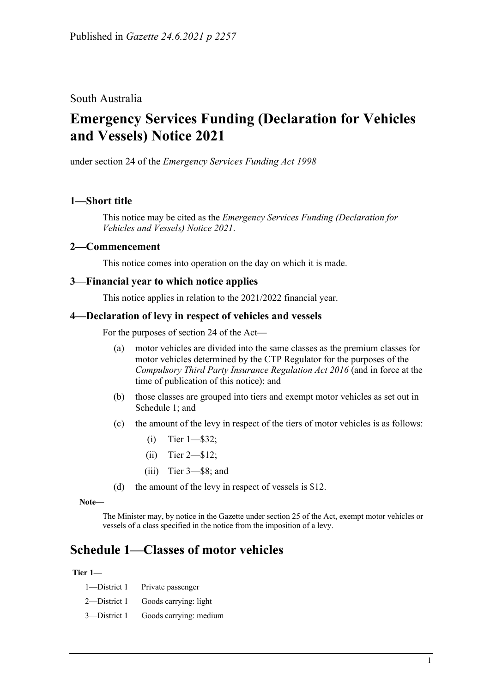# South Australia

# **Emergency Services Funding (Declaration for Vehicles and Vessels) Notice 2021**

under section 24 of the *Emergency Services Funding Act 1998*

# **1—Short title**

This notice may be cited as the *[Emergency Services Funding \(Declaration for](http://www.legislation.sa.gov.au/index.aspx?action=legref&type=subordleg&legtitle=Emergency%20Services%20Funding%20(Declaration%20for%20Vehicles%20and%20Vessels)%20Notice%202021)  [Vehicles and Vessels\) Notice](http://www.legislation.sa.gov.au/index.aspx?action=legref&type=subordleg&legtitle=Emergency%20Services%20Funding%20(Declaration%20for%20Vehicles%20and%20Vessels)%20Notice%202021) 2021*.

### **2—Commencement**

This notice comes into operation on the day on which it is made.

### **3—Financial year to which notice applies**

This notice applies in relation to the 2021/2022 financial year.

## **4—Declaration of levy in respect of vehicles and vessels**

For the purposes of section 24 of the Act—

- (a) motor vehicles are divided into the same classes as the premium classes for motor vehicles determined by the CTP Regulator for the purposes of the *[Compulsory Third Party Insurance Regulation Act](http://www.legislation.sa.gov.au/index.aspx?action=legref&type=act&legtitle=Compulsory%20Third%20Party%20Insurance%20Regulation%20Act%202016) 2016* (and in force at the time of publication of this notice); and
- (b) those classes are grouped into tiers and exempt motor vehicles as set out in [Schedule](#page-0-0) 1; and
- (c) the amount of the levy in respect of the tiers of motor vehicles is as follows:
	- (i) Tier 1—\$32;
	- (ii) Tier 2—\$12;
	- (iii) Tier 3—\$8; and
- (d) the amount of the levy in respect of vessels is \$12.

**Note—**

The Minister may, by notice in the Gazette under section 25 of the Act, exempt motor vehicles or vessels of a class specified in the notice from the imposition of a levy.

# <span id="page-0-0"></span>**Schedule 1—Classes of motor vehicles**

#### **Tier 1—**

|                                                                            | 1—District 1 Private passenger     |
|----------------------------------------------------------------------------|------------------------------------|
|                                                                            | 2—District 1 Goods carrying: light |
| $\sim$<br>$\mathbf{D}$ $\mathbf{L}$ $\mathbf{L}$ $\mathbf{L}$ $\mathbf{L}$ |                                    |

3—District 1 Goods carrying: medium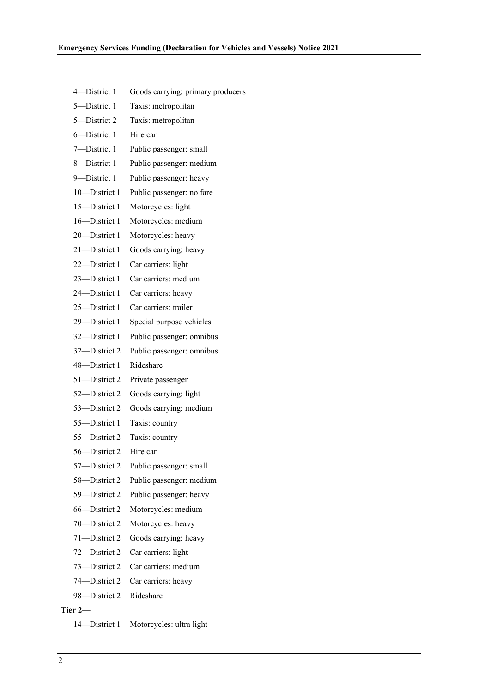| 4-District 1  | Goods carrying: primary producers |
|---------------|-----------------------------------|
| 5-District 1  | Taxis: metropolitan               |
| 5-District 2  | Taxis: metropolitan               |
| 6-District 1  | Hire car                          |
| 7-District 1  | Public passenger: small           |
| 8-District 1  | Public passenger: medium          |
| 9-District 1  | Public passenger: heavy           |
| 10-District 1 | Public passenger: no fare         |
| 15-District 1 | Motorcycles: light                |
| 16-District 1 | Motorcycles: medium               |
| 20-District 1 | Motorcycles: heavy                |
| 21-District 1 | Goods carrying: heavy             |
| 22-District 1 | Car carriers: light               |
| 23-District 1 | Car carriers: medium              |
| 24-District 1 | Car carriers: heavy               |
| 25-District 1 | Car carriers: trailer             |
| 29-District 1 | Special purpose vehicles          |
| 32-District 1 | Public passenger: omnibus         |
| 32-District 2 | Public passenger: omnibus         |
| 48-District 1 | Rideshare                         |
| 51-District 2 | Private passenger                 |
| 52-District 2 | Goods carrying: light             |
| 53-District 2 | Goods carrying: medium            |
| 55-District 1 | Taxis: country                    |
| 55-District 2 | Taxis: country                    |
| 56-District 2 | Hire car                          |
| 57-District 2 | Public passenger: small           |
| 58-District 2 | Public passenger: medium          |
| 59-District 2 | Public passenger: heavy           |
| 66-District 2 | Motorcycles: medium               |
| 70-District 2 | Motorcycles: heavy                |
| 71-District 2 | Goods carrying: heavy             |
| 72-District 2 | Car carriers: light               |
| 73—District 2 | Car carriers: medium              |
| 74—District 2 | Car carriers: heavy               |
| 98—District 2 | Rideshare                         |
| Tier 2—       |                                   |

14—District 1 Motorcycles: ultra light